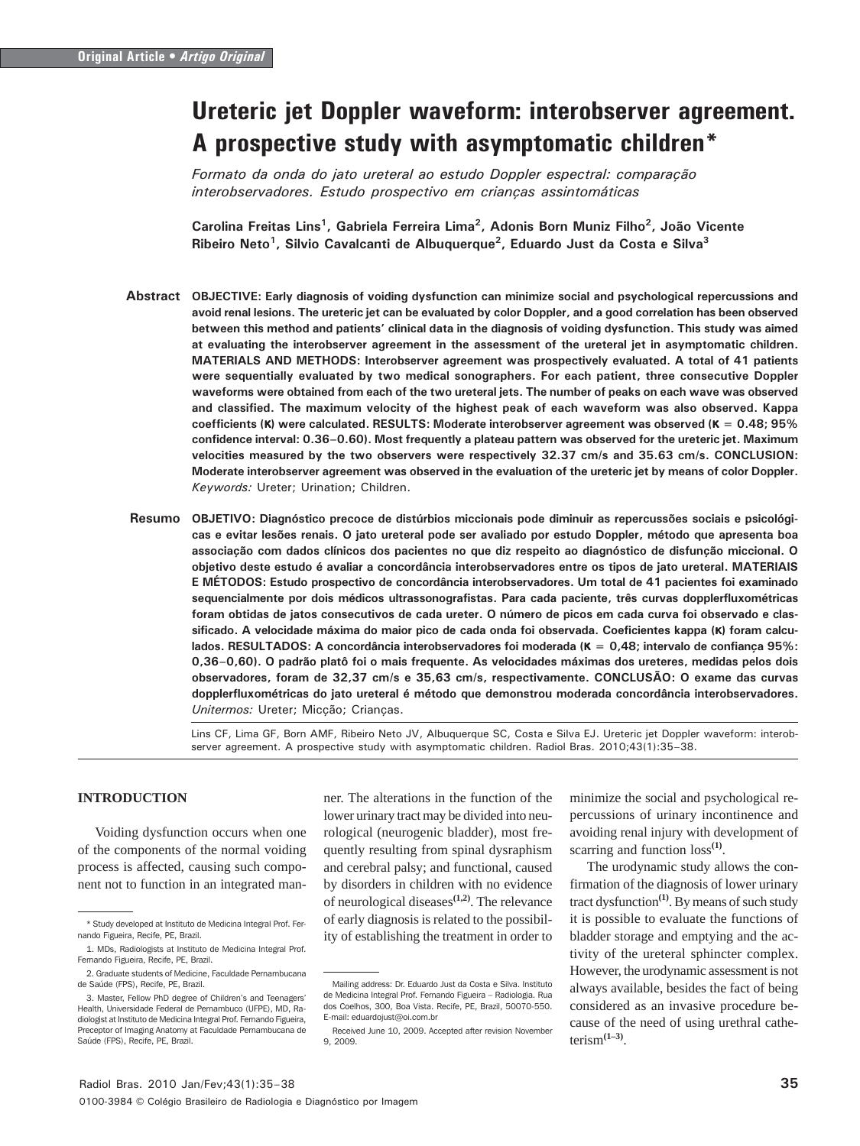# Ureteric jet Doppler waveform: interobserver agreement. A prospective study with asymptomatic children\*

Formato da onda do jato ureteral ao estudo Doppler espectral: comparação interobservadores. Estudo prospectivo em crianças assintomáticas

Carolina Freitas Lins<sup>1</sup>, Gabriela Ferreira Lima<sup>2</sup>, Adonis Born Muniz Filho<sup>2</sup>, João Vicente Ribeiro Neto<sup>1</sup>, Silvio Cavalcanti de Albuquerque<sup>2</sup>, Eduardo Just da Costa e Silva<sup>3</sup>

- Abstract OBJECTIVE: Early diagnosis of voiding dysfunction can minimize social and psychological repercussions and avoid renal lesions. The ureteric jet can be evaluated by color Doppler, and a good correlation has been observed between this method and patients' clinical data in the diagnosis of voiding dysfunction. This study was aimed at evaluating the interobserver agreement in the assessment of the ureteral jet in asymptomatic children. MATERIALS AND METHODS: Interobserver agreement was prospectively evaluated. A total of 41 patients were sequentially evaluated by two medical sonographers. For each patient, three consecutive Doppler waveforms were obtained from each of the two ureteral jets. The number of peaks on each wave was observed and classified. The maximum velocity of the highest peak of each waveform was also observed. Kappa coefficients (κ) were calculated. RESULTS: Moderate interobserver agreement was observed (κ = 0.48; 95% confidence interval: 0.36–0.60). Most frequently a plateau pattern was observed for the ureteric jet. Maximum velocities measured by the two observers were respectively 32.37 cm/s and 35.63 cm/s. CONCLUSION: Moderate interobserver agreement was observed in the evaluation of the ureteric jet by means of color Doppler. Keywords: Ureter; Urination; Children.
- OBJETIVO: Diagnóstico precoce de distúrbios miccionais pode diminuir as repercussões sociais e psicológicas e evitar lesões renais. O jato ureteral pode ser avaliado por estudo Doppler, método que apresenta boa associação com dados clínicos dos pacientes no que diz respeito ao diagnóstico de disfunção miccional. O objetivo deste estudo é avaliar a concordância interobservadores entre os tipos de jato ureteral. MATERIAIS E MÉTODOS: Estudo prospectivo de concordância interobservadores. Um total de 41 pacientes foi examinado sequencialmente por dois médicos ultrassonografistas. Para cada paciente, três curvas dopplerfluxométricas foram obtidas de jatos consecutivos de cada ureter. O número de picos em cada curva foi observado e classificado. A velocidade máxima do maior pico de cada onda foi observada. Coeficientes kappa (κ) foram calculados. RESULTADOS: A concordância interobservadores foi moderada (κ = 0.48; intervalo de confianca 95%; 0,36–0,60). O padrão platô foi o mais frequente. As velocidades máximas dos ureteres, medidas pelos dois observadores, foram de 32,37 cm/s e 35,63 cm/s, respectivamente. CONCLUSÃO: O exame das curvas dopplerfluxométricas do jato ureteral é método que demonstrou moderada concordância interobservadores. Unitermos: Ureter; Micção; Crianças. Resumo

Lins CF, Lima GF, Born AMF, Ribeiro Neto JV, Albuquerque SC, Costa e Silva EJ. Ureteric jet Doppler waveform: interobserver agreement. A prospective study with asymptomatic children. Radiol Bras. 2010;43(1):35–38.

# **INTRODUCTION**

Voiding dysfunction occurs when one of the components of the normal voiding process is affected, causing such component not to function in an integrated manner. The alterations in the function of the lower urinary tract may be divided into neurological (neurogenic bladder), most frequently resulting from spinal dysraphism and cerebral palsy; and functional, caused by disorders in children with no evidence of neurological diseases**(1,2)**. The relevance of early diagnosis is related to the possibility of establishing the treatment in order to

minimize the social and psychological repercussions of urinary incontinence and avoiding renal injury with development of scarring and function loss**(1)**.

The urodynamic study allows the confirmation of the diagnosis of lower urinary tract dysfunction**(1)**. By means of such study it is possible to evaluate the functions of bladder storage and emptying and the activity of the ureteral sphincter complex. However, the urodynamic assessment is not always available, besides the fact of being considered as an invasive procedure because of the need of using urethral catheterism**(1–3)**.

<sup>\*</sup> Study developed at Instituto de Medicina Integral Prof. Fernando Figueira, Recife, PE, Brazil.

<sup>1.</sup> MDs, Radiologists at Instituto de Medicina Integral Prof. Fernando Figueira, Recife, PE, Brazil.

<sup>2.</sup> Graduate students of Medicine, Faculdade Pernambucana de Saúde (FPS), Recife, PE, Brazil.

<sup>3.</sup> Master, Fellow PhD degree of Children's and Teenagers' Health, Universidade Federal de Pernambuco (UFPE), MD, Radiologist at Instituto de Medicina Integral Prof. Fernando Figueira, Preceptor of Imaging Anatomy at Faculdade Pernambucana de Saúde (FPS), Recife, PE, Brazil.

Mailing address: Dr. Eduardo Just da Costa e Silva. Instituto de Medicina Integral Prof. Fernando Figueira – Radiologia. Rua dos Coelhos, 300, Boa Vista. Recife, PE, Brazil, 50070-550. E-mail: eduardojust@oi.com.br

Received June 10, 2009. Accepted after revision November  $9, 2009$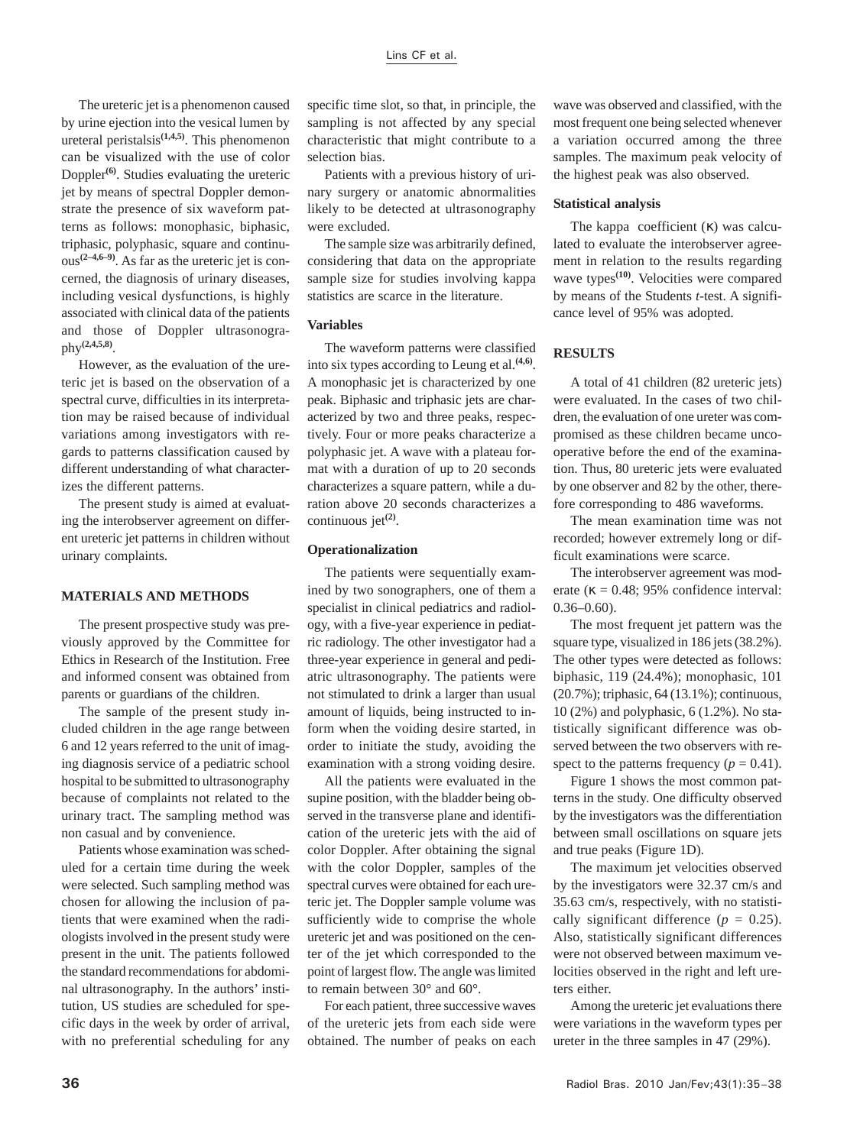The ureteric jet is a phenomenon caused by urine ejection into the vesical lumen by ureteral peristalsis**(1,4,5)**. This phenomenon can be visualized with the use of color Doppler**(6)**. Studies evaluating the ureteric jet by means of spectral Doppler demonstrate the presence of six waveform patterns as follows: monophasic, biphasic, triphasic, polyphasic, square and continuous**(2–4,6–9)**. As far as the ureteric jet is concerned, the diagnosis of urinary diseases, including vesical dysfunctions, is highly associated with clinical data of the patients and those of Doppler ultrasonography**(2,4,5,8)**.

However, as the evaluation of the ureteric jet is based on the observation of a spectral curve, difficulties in its interpretation may be raised because of individual variations among investigators with regards to patterns classification caused by different understanding of what characterizes the different patterns.

The present study is aimed at evaluating the interobserver agreement on different ureteric jet patterns in children without urinary complaints.

## **MATERIALS AND METHODS**

The present prospective study was previously approved by the Committee for Ethics in Research of the Institution. Free and informed consent was obtained from parents or guardians of the children.

The sample of the present study included children in the age range between 6 and 12 years referred to the unit of imaging diagnosis service of a pediatric school hospital to be submitted to ultrasonography because of complaints not related to the urinary tract. The sampling method was non casual and by convenience.

Patients whose examination was scheduled for a certain time during the week were selected. Such sampling method was chosen for allowing the inclusion of patients that were examined when the radiologists involved in the present study were present in the unit. The patients followed the standard recommendations for abdominal ultrasonography. In the authors' institution, US studies are scheduled for specific days in the week by order of arrival, with no preferential scheduling for any

specific time slot, so that, in principle, the sampling is not affected by any special characteristic that might contribute to a selection bias.

Patients with a previous history of urinary surgery or anatomic abnormalities likely to be detected at ultrasonography were excluded.

The sample size was arbitrarily defined, considering that data on the appropriate sample size for studies involving kappa statistics are scarce in the literature.

## **Variables**

The waveform patterns were classified into six types according to Leung et al.**(4,6)**. A monophasic jet is characterized by one peak. Biphasic and triphasic jets are characterized by two and three peaks, respectively. Four or more peaks characterize a polyphasic jet. A wave with a plateau format with a duration of up to 20 seconds characterizes a square pattern, while a duration above 20 seconds characterizes a continuous jet**(2)**.

#### **Operationalization**

The patients were sequentially examined by two sonographers, one of them a specialist in clinical pediatrics and radiology, with a five-year experience in pediatric radiology. The other investigator had a three-year experience in general and pediatric ultrasonography. The patients were not stimulated to drink a larger than usual amount of liquids, being instructed to inform when the voiding desire started, in order to initiate the study, avoiding the examination with a strong voiding desire.

All the patients were evaluated in the supine position, with the bladder being observed in the transverse plane and identification of the ureteric jets with the aid of color Doppler. After obtaining the signal with the color Doppler, samples of the spectral curves were obtained for each ureteric jet. The Doppler sample volume was sufficiently wide to comprise the whole ureteric jet and was positioned on the center of the jet which corresponded to the point of largest flow. The angle was limited to remain between 30° and 60°.

For each patient, three successive waves of the ureteric jets from each side were obtained. The number of peaks on each

wave was observed and classified, with the most frequent one being selected whenever a variation occurred among the three samples. The maximum peak velocity of the highest peak was also observed.

### **Statistical analysis**

The kappa coefficient (κ) was calculated to evaluate the interobserver agreement in relation to the results regarding wave types**(10)**. Velocities were compared by means of the Students *t*-test. A significance level of 95% was adopted.

## **RESULTS**

A total of 41 children (82 ureteric jets) were evaluated. In the cases of two children, the evaluation of one ureter was compromised as these children became uncooperative before the end of the examination. Thus, 80 ureteric jets were evaluated by one observer and 82 by the other, therefore corresponding to 486 waveforms.

The mean examination time was not recorded; however extremely long or difficult examinations were scarce.

The interobserver agreement was moderate ( $\kappa = 0.48$ ; 95% confidence interval:  $0.36 - 0.60$ .

The most frequent jet pattern was the square type, visualized in 186 jets (38.2%). The other types were detected as follows: biphasic, 119 (24.4%); monophasic, 101 (20.7%); triphasic, 64 (13.1%); continuous, 10 (2%) and polyphasic, 6 (1.2%). No statistically significant difference was observed between the two observers with respect to the patterns frequency  $(p = 0.41)$ .

Figure 1 shows the most common patterns in the study. One difficulty observed by the investigators was the differentiation between small oscillations on square jets and true peaks (Figure 1D).

The maximum jet velocities observed by the investigators were 32.37 cm/s and 35.63 cm/s, respectively, with no statistically significant difference ( $p = 0.25$ ). Also, statistically significant differences were not observed between maximum velocities observed in the right and left ureters either.

Among the ureteric jet evaluations there were variations in the waveform types per ureter in the three samples in 47 (29%).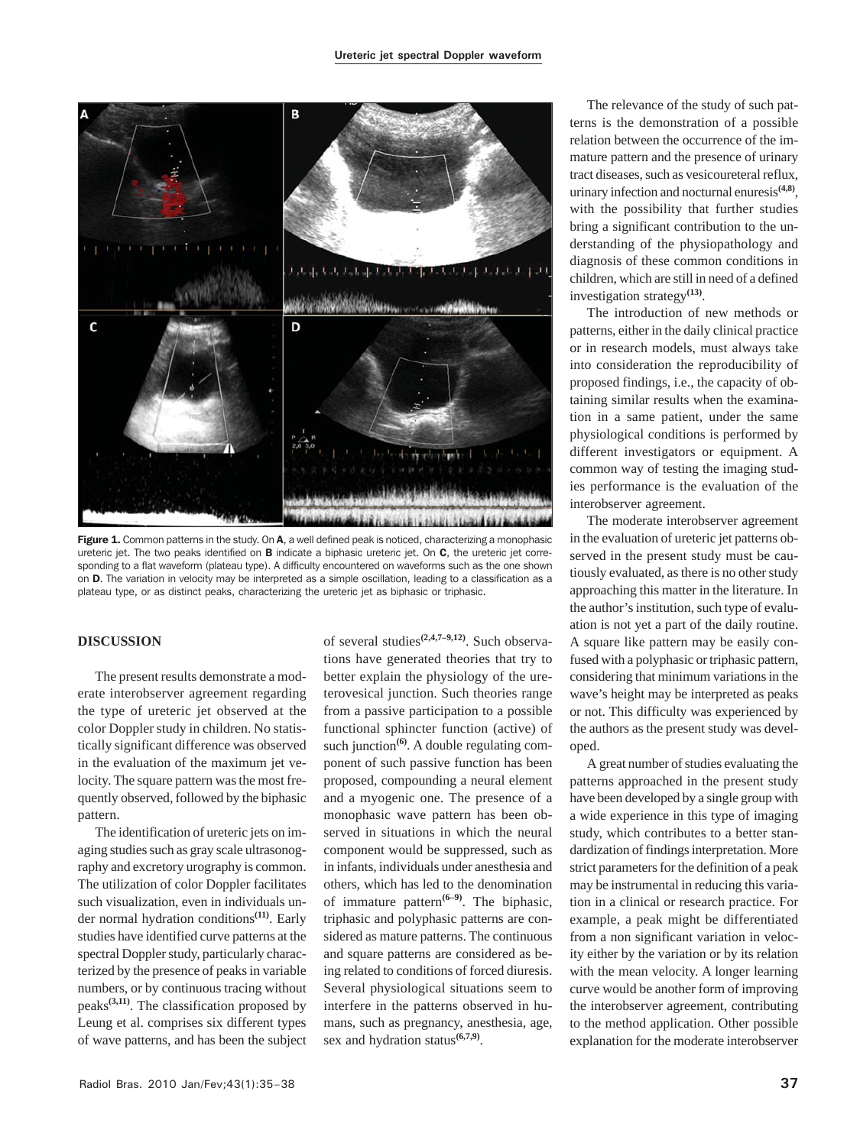

Figure 1. Common patterns in the study. On A, a well defined peak is noticed, characterizing a monophasic ureteric jet. The two peaks identified on **B** indicate a biphasic ureteric jet. On C, the ureteric jet corresponding to a flat waveform (plateau type). A difficulty encountered on waveforms such as the one shown on D. The variation in velocity may be interpreted as a simple oscillation, leading to a classification as a plateau type, or as distinct peaks, characterizing the ureteric jet as biphasic or triphasic.

# **DISCUSSION**

The present results demonstrate a moderate interobserver agreement regarding the type of ureteric jet observed at the color Doppler study in children. No statistically significant difference was observed in the evaluation of the maximum jet velocity. The square pattern was the most frequently observed, followed by the biphasic pattern.

The identification of ureteric jets on imaging studies such as gray scale ultrasonography and excretory urography is common. The utilization of color Doppler facilitates such visualization, even in individuals under normal hydration conditions**(11)**. Early studies have identified curve patterns at the spectral Doppler study, particularly characterized by the presence of peaks in variable numbers, or by continuous tracing without peaks**(3,11)**. The classification proposed by Leung et al. comprises six different types of wave patterns, and has been the subject of several studies**(2,4,7–9,12)**. Such observations have generated theories that try to better explain the physiology of the ureterovesical junction. Such theories range from a passive participation to a possible functional sphincter function (active) of such junction<sup>(6)</sup>. A double regulating component of such passive function has been proposed, compounding a neural element and a myogenic one. The presence of a monophasic wave pattern has been observed in situations in which the neural component would be suppressed, such as in infants, individuals under anesthesia and others, which has led to the denomination of immature pattern**(6–9)**. The biphasic, triphasic and polyphasic patterns are considered as mature patterns. The continuous and square patterns are considered as being related to conditions of forced diuresis. Several physiological situations seem to interfere in the patterns observed in humans, such as pregnancy, anesthesia, age, sex and hydration status**(6,7,9)**.

The relevance of the study of such patterns is the demonstration of a possible relation between the occurrence of the immature pattern and the presence of urinary tract diseases, such as vesicoureteral reflux, urinary infection and nocturnal enuresis**(4,8)**, with the possibility that further studies bring a significant contribution to the understanding of the physiopathology and diagnosis of these common conditions in children, which are still in need of a defined investigation strategy**(13)**.

The introduction of new methods or patterns, either in the daily clinical practice or in research models, must always take into consideration the reproducibility of proposed findings, i.e., the capacity of obtaining similar results when the examination in a same patient, under the same physiological conditions is performed by different investigators or equipment. A common way of testing the imaging studies performance is the evaluation of the interobserver agreement.

The moderate interobserver agreement in the evaluation of ureteric jet patterns observed in the present study must be cautiously evaluated, as there is no other study approaching this matter in the literature. In the author's institution, such type of evaluation is not yet a part of the daily routine. A square like pattern may be easily confused with a polyphasic or triphasic pattern, considering that minimum variations in the wave's height may be interpreted as peaks or not. This difficulty was experienced by the authors as the present study was developed.

A great number of studies evaluating the patterns approached in the present study have been developed by a single group with a wide experience in this type of imaging study, which contributes to a better standardization of findings interpretation. More strict parameters for the definition of a peak may be instrumental in reducing this variation in a clinical or research practice. For example, a peak might be differentiated from a non significant variation in velocity either by the variation or by its relation with the mean velocity. A longer learning curve would be another form of improving the interobserver agreement, contributing to the method application. Other possible explanation for the moderate interobserver